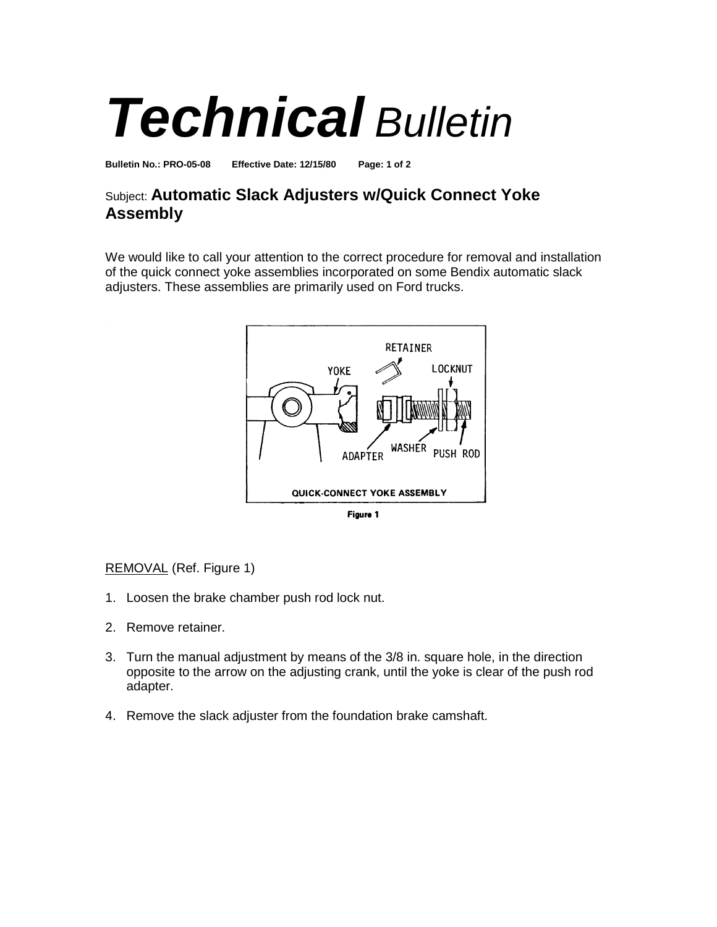## *Technical Bulletin*

**Bulletin No.: PRO-05-08 Effective Date: 12/15/80 Page: 1 of 2**

## Subject: **Automatic Slack Adjusters w/Quick Connect Yoke Assembly**

We would like to call your attention to the correct procedure for removal and installation of the quick connect yoke assemblies incorporated on some Bendix automatic slack adjusters. These assemblies are primarily used on Ford trucks.



Figure 1

## REMOVAL (Ref. Figure 1)

- 1. Loosen the brake chamber push rod lock nut.
- 2. Remove retainer.
- 3. Turn the manual adjustment by means of the 3/8 in. square hole, in the direction opposite to the arrow on the adjusting crank, until the yoke is clear of the push rod adapter.
- 4. Remove the slack adjuster from the foundation brake camshaft.